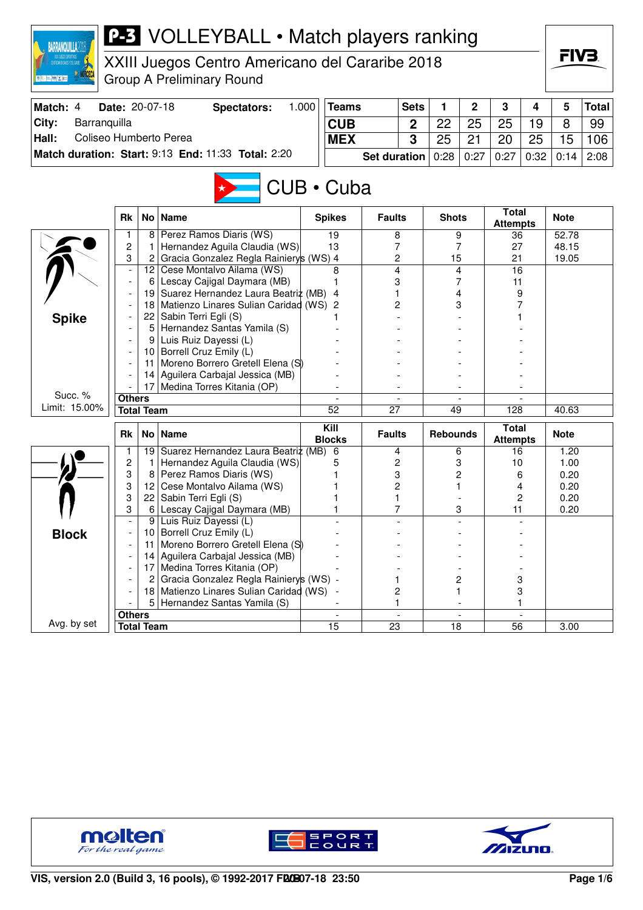| <b>BARRANQUILLA2D</b><br>FIV3.<br>XXIII Juegos Centro Americano del Cararibe 2018<br><b>Group A Preliminary Round</b><br>Match: 4<br>Date: 20-07-18<br>1.000<br><b>Teams</b><br><b>Sets</b><br>1<br>2<br>3<br>5<br><b>Spectators:</b><br>4<br><b>Total</b><br>City:<br>Barranquilla<br><b>CUB</b><br>22<br>25<br>25<br>19<br>8<br>99<br>$\mathbf 2$<br>Hall:<br>Coliseo Humberto Perea<br>3<br>25<br>21<br>15<br><b>MEX</b><br>25<br>106<br>20<br>Match duration: Start: 9:13 End: 11:33 Total: 2:20<br>0:28<br>0:27<br>0:27<br>0:32<br>2:08<br>Set duration<br>0:14<br>$CUB \cdot Cuba$<br><b>Total</b><br><b>Rk</b><br>No<br><b>Name</b><br><b>Spikes</b><br><b>Faults</b><br><b>Shots</b><br><b>Note</b><br><b>Attempts</b><br>Perez Ramos Diaris (WS)<br>19<br>9<br>1<br>8<br>8<br>52.78<br>36<br>2<br>Hernandez Aguila Claudia (WS)<br>13<br>7<br>7<br>27<br>48.15<br>Gracia Gonzalez Regla Rainiery's (WS) 4<br>3<br>2<br>2<br>15<br>21<br>19.05<br>$\overline{\mathbf{4}}$<br>Cese Montalvo Ailama (WS)<br>4<br>12 <sub>2</sub><br>8<br>16<br>7<br>Lescay Cajigal Daymara (MB)<br>3<br>11<br>6<br>Suarez Hernandez Laura Beatriz (MB) 4<br>19  <br>4<br>9<br>Matienzo Linares Sulian Caridad (WS) 2<br>2<br>3<br>18<br>Sabin Terri Egli (S)<br>22<br><b>Spike</b><br>Hernandez Santas Yamila (S)<br>5<br>Luis Ruiz Dayessi (L)<br>9<br>Borrell Cruz Emily (L)<br>10  <br>Moreno Borrero Gretell Elena (S)<br>11<br>Aguilera Carbajal Jessica (MB)<br>14<br>Medina Torres Kitania (OP)<br>17<br>Succ. %<br><b>Others</b><br>Limit: 15.00%<br>$\overline{52}$<br><b>Total Team</b><br>27<br>49<br>128<br>40.63<br>Kill<br><b>Total</b><br><b>Rk</b><br>No <sub>1</sub><br><b>Name</b><br><b>Faults</b><br><b>Rebounds</b><br><b>Note</b><br><b>Blocks</b><br><b>Attempts</b><br>19<br>Suarez Hernandez Laura Beatriz (MB)<br>6<br>1.20<br>1<br>4<br>6<br>16<br>2<br>Hernandez Aguila Claudia (WS)<br>2<br>3<br>10<br>1.00<br>1<br>5<br>3<br>Perez Ramos Diaris (WS)<br>3<br>2<br>8<br>0.20<br>6<br>3<br>Cese Montalvo Ailama (WS)<br>2<br>12<br>0.20<br>4<br>3<br>22<br>Sabin Terri Egli (S)<br>1<br>2<br>0.20<br>6 <br>Lescay Cajigal Daymara (MB)<br>3<br>11<br>0.20<br>1<br>T<br>3<br>Luis Ruiz Dayessi (L)<br>9<br>Borrell Cruz Emily (L)<br><b>Block</b><br>10<br>Moreno Borrero Gretell Elena (S)<br>11<br>Aguilera Carbajal Jessica (MB)<br>14<br>Medina Torres Kitania (OP)<br>17<br>Gracia Gonzalez Regla Rainierys (WS) -<br>2<br>3<br>$\overline{2}$<br>1<br>18 Matienzo Linares Sulian Caridad (WS)<br>2<br>3<br>1<br>Hernandez Santas Yamila (S)<br>5<br>1<br><b>Others</b><br>Avg. by set<br><b>Total Team</b><br>15<br>23<br>18<br>56<br>3.00 |  | <b>P-3</b> VOLLEYBALL • Match players ranking |  |  |  |  |  |
|-------------------------------------------------------------------------------------------------------------------------------------------------------------------------------------------------------------------------------------------------------------------------------------------------------------------------------------------------------------------------------------------------------------------------------------------------------------------------------------------------------------------------------------------------------------------------------------------------------------------------------------------------------------------------------------------------------------------------------------------------------------------------------------------------------------------------------------------------------------------------------------------------------------------------------------------------------------------------------------------------------------------------------------------------------------------------------------------------------------------------------------------------------------------------------------------------------------------------------------------------------------------------------------------------------------------------------------------------------------------------------------------------------------------------------------------------------------------------------------------------------------------------------------------------------------------------------------------------------------------------------------------------------------------------------------------------------------------------------------------------------------------------------------------------------------------------------------------------------------------------------------------------------------------------------------------------------------------------------------------------------------------------------------------------------------------------------------------------------------------------------------------------------------------------------------------------------------------------------------------------------------------------------------------------------------------------------------------------------------------------------------------------------------------------------------------------------------------------------------------------------------------------------------------------------------------------------------------------------------------------------------------------------------------|--|-----------------------------------------------|--|--|--|--|--|
|                                                                                                                                                                                                                                                                                                                                                                                                                                                                                                                                                                                                                                                                                                                                                                                                                                                                                                                                                                                                                                                                                                                                                                                                                                                                                                                                                                                                                                                                                                                                                                                                                                                                                                                                                                                                                                                                                                                                                                                                                                                                                                                                                                                                                                                                                                                                                                                                                                                                                                                                                                                                                                                                   |  |                                               |  |  |  |  |  |
|                                                                                                                                                                                                                                                                                                                                                                                                                                                                                                                                                                                                                                                                                                                                                                                                                                                                                                                                                                                                                                                                                                                                                                                                                                                                                                                                                                                                                                                                                                                                                                                                                                                                                                                                                                                                                                                                                                                                                                                                                                                                                                                                                                                                                                                                                                                                                                                                                                                                                                                                                                                                                                                                   |  |                                               |  |  |  |  |  |
|                                                                                                                                                                                                                                                                                                                                                                                                                                                                                                                                                                                                                                                                                                                                                                                                                                                                                                                                                                                                                                                                                                                                                                                                                                                                                                                                                                                                                                                                                                                                                                                                                                                                                                                                                                                                                                                                                                                                                                                                                                                                                                                                                                                                                                                                                                                                                                                                                                                                                                                                                                                                                                                                   |  |                                               |  |  |  |  |  |
|                                                                                                                                                                                                                                                                                                                                                                                                                                                                                                                                                                                                                                                                                                                                                                                                                                                                                                                                                                                                                                                                                                                                                                                                                                                                                                                                                                                                                                                                                                                                                                                                                                                                                                                                                                                                                                                                                                                                                                                                                                                                                                                                                                                                                                                                                                                                                                                                                                                                                                                                                                                                                                                                   |  |                                               |  |  |  |  |  |
|                                                                                                                                                                                                                                                                                                                                                                                                                                                                                                                                                                                                                                                                                                                                                                                                                                                                                                                                                                                                                                                                                                                                                                                                                                                                                                                                                                                                                                                                                                                                                                                                                                                                                                                                                                                                                                                                                                                                                                                                                                                                                                                                                                                                                                                                                                                                                                                                                                                                                                                                                                                                                                                                   |  |                                               |  |  |  |  |  |
|                                                                                                                                                                                                                                                                                                                                                                                                                                                                                                                                                                                                                                                                                                                                                                                                                                                                                                                                                                                                                                                                                                                                                                                                                                                                                                                                                                                                                                                                                                                                                                                                                                                                                                                                                                                                                                                                                                                                                                                                                                                                                                                                                                                                                                                                                                                                                                                                                                                                                                                                                                                                                                                                   |  |                                               |  |  |  |  |  |
|                                                                                                                                                                                                                                                                                                                                                                                                                                                                                                                                                                                                                                                                                                                                                                                                                                                                                                                                                                                                                                                                                                                                                                                                                                                                                                                                                                                                                                                                                                                                                                                                                                                                                                                                                                                                                                                                                                                                                                                                                                                                                                                                                                                                                                                                                                                                                                                                                                                                                                                                                                                                                                                                   |  |                                               |  |  |  |  |  |
|                                                                                                                                                                                                                                                                                                                                                                                                                                                                                                                                                                                                                                                                                                                                                                                                                                                                                                                                                                                                                                                                                                                                                                                                                                                                                                                                                                                                                                                                                                                                                                                                                                                                                                                                                                                                                                                                                                                                                                                                                                                                                                                                                                                                                                                                                                                                                                                                                                                                                                                                                                                                                                                                   |  |                                               |  |  |  |  |  |
|                                                                                                                                                                                                                                                                                                                                                                                                                                                                                                                                                                                                                                                                                                                                                                                                                                                                                                                                                                                                                                                                                                                                                                                                                                                                                                                                                                                                                                                                                                                                                                                                                                                                                                                                                                                                                                                                                                                                                                                                                                                                                                                                                                                                                                                                                                                                                                                                                                                                                                                                                                                                                                                                   |  |                                               |  |  |  |  |  |
|                                                                                                                                                                                                                                                                                                                                                                                                                                                                                                                                                                                                                                                                                                                                                                                                                                                                                                                                                                                                                                                                                                                                                                                                                                                                                                                                                                                                                                                                                                                                                                                                                                                                                                                                                                                                                                                                                                                                                                                                                                                                                                                                                                                                                                                                                                                                                                                                                                                                                                                                                                                                                                                                   |  |                                               |  |  |  |  |  |
|                                                                                                                                                                                                                                                                                                                                                                                                                                                                                                                                                                                                                                                                                                                                                                                                                                                                                                                                                                                                                                                                                                                                                                                                                                                                                                                                                                                                                                                                                                                                                                                                                                                                                                                                                                                                                                                                                                                                                                                                                                                                                                                                                                                                                                                                                                                                                                                                                                                                                                                                                                                                                                                                   |  |                                               |  |  |  |  |  |
|                                                                                                                                                                                                                                                                                                                                                                                                                                                                                                                                                                                                                                                                                                                                                                                                                                                                                                                                                                                                                                                                                                                                                                                                                                                                                                                                                                                                                                                                                                                                                                                                                                                                                                                                                                                                                                                                                                                                                                                                                                                                                                                                                                                                                                                                                                                                                                                                                                                                                                                                                                                                                                                                   |  |                                               |  |  |  |  |  |
|                                                                                                                                                                                                                                                                                                                                                                                                                                                                                                                                                                                                                                                                                                                                                                                                                                                                                                                                                                                                                                                                                                                                                                                                                                                                                                                                                                                                                                                                                                                                                                                                                                                                                                                                                                                                                                                                                                                                                                                                                                                                                                                                                                                                                                                                                                                                                                                                                                                                                                                                                                                                                                                                   |  |                                               |  |  |  |  |  |
|                                                                                                                                                                                                                                                                                                                                                                                                                                                                                                                                                                                                                                                                                                                                                                                                                                                                                                                                                                                                                                                                                                                                                                                                                                                                                                                                                                                                                                                                                                                                                                                                                                                                                                                                                                                                                                                                                                                                                                                                                                                                                                                                                                                                                                                                                                                                                                                                                                                                                                                                                                                                                                                                   |  |                                               |  |  |  |  |  |
|                                                                                                                                                                                                                                                                                                                                                                                                                                                                                                                                                                                                                                                                                                                                                                                                                                                                                                                                                                                                                                                                                                                                                                                                                                                                                                                                                                                                                                                                                                                                                                                                                                                                                                                                                                                                                                                                                                                                                                                                                                                                                                                                                                                                                                                                                                                                                                                                                                                                                                                                                                                                                                                                   |  |                                               |  |  |  |  |  |
|                                                                                                                                                                                                                                                                                                                                                                                                                                                                                                                                                                                                                                                                                                                                                                                                                                                                                                                                                                                                                                                                                                                                                                                                                                                                                                                                                                                                                                                                                                                                                                                                                                                                                                                                                                                                                                                                                                                                                                                                                                                                                                                                                                                                                                                                                                                                                                                                                                                                                                                                                                                                                                                                   |  |                                               |  |  |  |  |  |
|                                                                                                                                                                                                                                                                                                                                                                                                                                                                                                                                                                                                                                                                                                                                                                                                                                                                                                                                                                                                                                                                                                                                                                                                                                                                                                                                                                                                                                                                                                                                                                                                                                                                                                                                                                                                                                                                                                                                                                                                                                                                                                                                                                                                                                                                                                                                                                                                                                                                                                                                                                                                                                                                   |  |                                               |  |  |  |  |  |
|                                                                                                                                                                                                                                                                                                                                                                                                                                                                                                                                                                                                                                                                                                                                                                                                                                                                                                                                                                                                                                                                                                                                                                                                                                                                                                                                                                                                                                                                                                                                                                                                                                                                                                                                                                                                                                                                                                                                                                                                                                                                                                                                                                                                                                                                                                                                                                                                                                                                                                                                                                                                                                                                   |  |                                               |  |  |  |  |  |
|                                                                                                                                                                                                                                                                                                                                                                                                                                                                                                                                                                                                                                                                                                                                                                                                                                                                                                                                                                                                                                                                                                                                                                                                                                                                                                                                                                                                                                                                                                                                                                                                                                                                                                                                                                                                                                                                                                                                                                                                                                                                                                                                                                                                                                                                                                                                                                                                                                                                                                                                                                                                                                                                   |  |                                               |  |  |  |  |  |
|                                                                                                                                                                                                                                                                                                                                                                                                                                                                                                                                                                                                                                                                                                                                                                                                                                                                                                                                                                                                                                                                                                                                                                                                                                                                                                                                                                                                                                                                                                                                                                                                                                                                                                                                                                                                                                                                                                                                                                                                                                                                                                                                                                                                                                                                                                                                                                                                                                                                                                                                                                                                                                                                   |  |                                               |  |  |  |  |  |
|                                                                                                                                                                                                                                                                                                                                                                                                                                                                                                                                                                                                                                                                                                                                                                                                                                                                                                                                                                                                                                                                                                                                                                                                                                                                                                                                                                                                                                                                                                                                                                                                                                                                                                                                                                                                                                                                                                                                                                                                                                                                                                                                                                                                                                                                                                                                                                                                                                                                                                                                                                                                                                                                   |  |                                               |  |  |  |  |  |
|                                                                                                                                                                                                                                                                                                                                                                                                                                                                                                                                                                                                                                                                                                                                                                                                                                                                                                                                                                                                                                                                                                                                                                                                                                                                                                                                                                                                                                                                                                                                                                                                                                                                                                                                                                                                                                                                                                                                                                                                                                                                                                                                                                                                                                                                                                                                                                                                                                                                                                                                                                                                                                                                   |  |                                               |  |  |  |  |  |
|                                                                                                                                                                                                                                                                                                                                                                                                                                                                                                                                                                                                                                                                                                                                                                                                                                                                                                                                                                                                                                                                                                                                                                                                                                                                                                                                                                                                                                                                                                                                                                                                                                                                                                                                                                                                                                                                                                                                                                                                                                                                                                                                                                                                                                                                                                                                                                                                                                                                                                                                                                                                                                                                   |  |                                               |  |  |  |  |  |
|                                                                                                                                                                                                                                                                                                                                                                                                                                                                                                                                                                                                                                                                                                                                                                                                                                                                                                                                                                                                                                                                                                                                                                                                                                                                                                                                                                                                                                                                                                                                                                                                                                                                                                                                                                                                                                                                                                                                                                                                                                                                                                                                                                                                                                                                                                                                                                                                                                                                                                                                                                                                                                                                   |  |                                               |  |  |  |  |  |
|                                                                                                                                                                                                                                                                                                                                                                                                                                                                                                                                                                                                                                                                                                                                                                                                                                                                                                                                                                                                                                                                                                                                                                                                                                                                                                                                                                                                                                                                                                                                                                                                                                                                                                                                                                                                                                                                                                                                                                                                                                                                                                                                                                                                                                                                                                                                                                                                                                                                                                                                                                                                                                                                   |  |                                               |  |  |  |  |  |
|                                                                                                                                                                                                                                                                                                                                                                                                                                                                                                                                                                                                                                                                                                                                                                                                                                                                                                                                                                                                                                                                                                                                                                                                                                                                                                                                                                                                                                                                                                                                                                                                                                                                                                                                                                                                                                                                                                                                                                                                                                                                                                                                                                                                                                                                                                                                                                                                                                                                                                                                                                                                                                                                   |  |                                               |  |  |  |  |  |
|                                                                                                                                                                                                                                                                                                                                                                                                                                                                                                                                                                                                                                                                                                                                                                                                                                                                                                                                                                                                                                                                                                                                                                                                                                                                                                                                                                                                                                                                                                                                                                                                                                                                                                                                                                                                                                                                                                                                                                                                                                                                                                                                                                                                                                                                                                                                                                                                                                                                                                                                                                                                                                                                   |  |                                               |  |  |  |  |  |
|                                                                                                                                                                                                                                                                                                                                                                                                                                                                                                                                                                                                                                                                                                                                                                                                                                                                                                                                                                                                                                                                                                                                                                                                                                                                                                                                                                                                                                                                                                                                                                                                                                                                                                                                                                                                                                                                                                                                                                                                                                                                                                                                                                                                                                                                                                                                                                                                                                                                                                                                                                                                                                                                   |  |                                               |  |  |  |  |  |
|                                                                                                                                                                                                                                                                                                                                                                                                                                                                                                                                                                                                                                                                                                                                                                                                                                                                                                                                                                                                                                                                                                                                                                                                                                                                                                                                                                                                                                                                                                                                                                                                                                                                                                                                                                                                                                                                                                                                                                                                                                                                                                                                                                                                                                                                                                                                                                                                                                                                                                                                                                                                                                                                   |  |                                               |  |  |  |  |  |
|                                                                                                                                                                                                                                                                                                                                                                                                                                                                                                                                                                                                                                                                                                                                                                                                                                                                                                                                                                                                                                                                                                                                                                                                                                                                                                                                                                                                                                                                                                                                                                                                                                                                                                                                                                                                                                                                                                                                                                                                                                                                                                                                                                                                                                                                                                                                                                                                                                                                                                                                                                                                                                                                   |  |                                               |  |  |  |  |  |
|                                                                                                                                                                                                                                                                                                                                                                                                                                                                                                                                                                                                                                                                                                                                                                                                                                                                                                                                                                                                                                                                                                                                                                                                                                                                                                                                                                                                                                                                                                                                                                                                                                                                                                                                                                                                                                                                                                                                                                                                                                                                                                                                                                                                                                                                                                                                                                                                                                                                                                                                                                                                                                                                   |  |                                               |  |  |  |  |  |
|                                                                                                                                                                                                                                                                                                                                                                                                                                                                                                                                                                                                                                                                                                                                                                                                                                                                                                                                                                                                                                                                                                                                                                                                                                                                                                                                                                                                                                                                                                                                                                                                                                                                                                                                                                                                                                                                                                                                                                                                                                                                                                                                                                                                                                                                                                                                                                                                                                                                                                                                                                                                                                                                   |  |                                               |  |  |  |  |  |
|                                                                                                                                                                                                                                                                                                                                                                                                                                                                                                                                                                                                                                                                                                                                                                                                                                                                                                                                                                                                                                                                                                                                                                                                                                                                                                                                                                                                                                                                                                                                                                                                                                                                                                                                                                                                                                                                                                                                                                                                                                                                                                                                                                                                                                                                                                                                                                                                                                                                                                                                                                                                                                                                   |  |                                               |  |  |  |  |  |
|                                                                                                                                                                                                                                                                                                                                                                                                                                                                                                                                                                                                                                                                                                                                                                                                                                                                                                                                                                                                                                                                                                                                                                                                                                                                                                                                                                                                                                                                                                                                                                                                                                                                                                                                                                                                                                                                                                                                                                                                                                                                                                                                                                                                                                                                                                                                                                                                                                                                                                                                                                                                                                                                   |  |                                               |  |  |  |  |  |
|                                                                                                                                                                                                                                                                                                                                                                                                                                                                                                                                                                                                                                                                                                                                                                                                                                                                                                                                                                                                                                                                                                                                                                                                                                                                                                                                                                                                                                                                                                                                                                                                                                                                                                                                                                                                                                                                                                                                                                                                                                                                                                                                                                                                                                                                                                                                                                                                                                                                                                                                                                                                                                                                   |  |                                               |  |  |  |  |  |
|                                                                                                                                                                                                                                                                                                                                                                                                                                                                                                                                                                                                                                                                                                                                                                                                                                                                                                                                                                                                                                                                                                                                                                                                                                                                                                                                                                                                                                                                                                                                                                                                                                                                                                                                                                                                                                                                                                                                                                                                                                                                                                                                                                                                                                                                                                                                                                                                                                                                                                                                                                                                                                                                   |  |                                               |  |  |  |  |  |
|                                                                                                                                                                                                                                                                                                                                                                                                                                                                                                                                                                                                                                                                                                                                                                                                                                                                                                                                                                                                                                                                                                                                                                                                                                                                                                                                                                                                                                                                                                                                                                                                                                                                                                                                                                                                                                                                                                                                                                                                                                                                                                                                                                                                                                                                                                                                                                                                                                                                                                                                                                                                                                                                   |  |                                               |  |  |  |  |  |
|                                                                                                                                                                                                                                                                                                                                                                                                                                                                                                                                                                                                                                                                                                                                                                                                                                                                                                                                                                                                                                                                                                                                                                                                                                                                                                                                                                                                                                                                                                                                                                                                                                                                                                                                                                                                                                                                                                                                                                                                                                                                                                                                                                                                                                                                                                                                                                                                                                                                                                                                                                                                                                                                   |  |                                               |  |  |  |  |  |
|                                                                                                                                                                                                                                                                                                                                                                                                                                                                                                                                                                                                                                                                                                                                                                                                                                                                                                                                                                                                                                                                                                                                                                                                                                                                                                                                                                                                                                                                                                                                                                                                                                                                                                                                                                                                                                                                                                                                                                                                                                                                                                                                                                                                                                                                                                                                                                                                                                                                                                                                                                                                                                                                   |  |                                               |  |  |  |  |  |
|                                                                                                                                                                                                                                                                                                                                                                                                                                                                                                                                                                                                                                                                                                                                                                                                                                                                                                                                                                                                                                                                                                                                                                                                                                                                                                                                                                                                                                                                                                                                                                                                                                                                                                                                                                                                                                                                                                                                                                                                                                                                                                                                                                                                                                                                                                                                                                                                                                                                                                                                                                                                                                                                   |  |                                               |  |  |  |  |  |





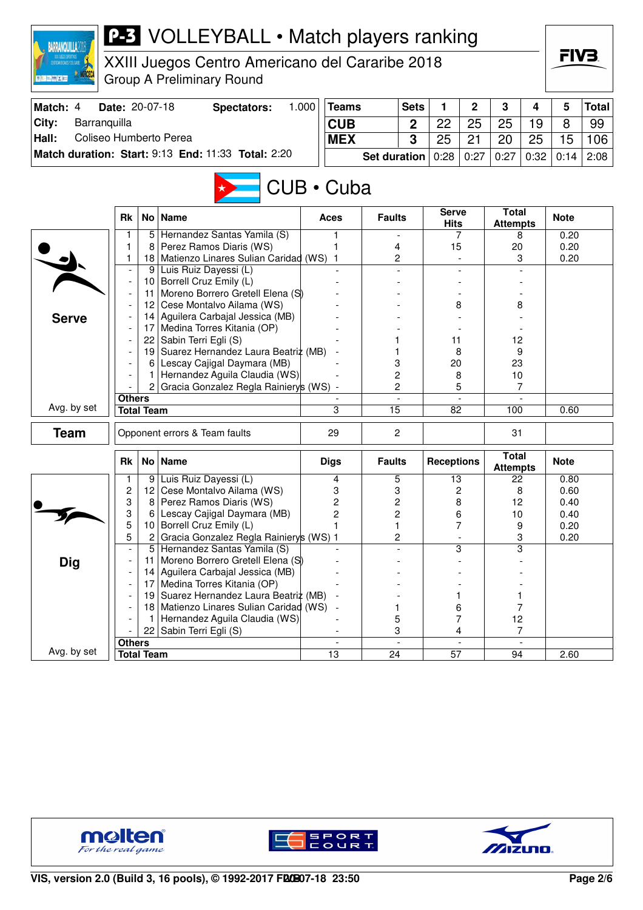| <b>BARRANQUILLA20</b>           |                |                   | <b>P-3</b> VOLLEYBALL • Match players ranking                                       |       |                 |                     |                |                             |                          |                                 |                | FIV3         |              |
|---------------------------------|----------------|-------------------|-------------------------------------------------------------------------------------|-------|-----------------|---------------------|----------------|-----------------------------|--------------------------|---------------------------------|----------------|--------------|--------------|
|                                 |                |                   | XXIII Juegos Centro Americano del Cararibe 2018<br><b>Group A Preliminary Round</b> |       |                 |                     |                |                             |                          |                                 |                |              |              |
| Match: 4                        | Date: 20-07-18 |                   | <b>Spectators:</b>                                                                  | 1.000 | <b>Teams</b>    |                     | <b>Sets</b>    | 1                           | $\overline{2}$           | 3                               | 4              | 5            | <b>Total</b> |
| City:<br>Barranquilla           |                |                   |                                                                                     |       | <b>CUB</b>      |                     | $\overline{2}$ | 22                          | 25                       | 25                              | 19             | 8            | 99           |
| Coliseo Humberto Perea<br>Hall: |                |                   |                                                                                     |       | <b>MEX</b>      |                     | 3              | 25                          | 21                       | 20                              | 25             | 15           | 106          |
|                                 |                |                   | Match duration: Start: 9:13 End: 11:33 Total: 2:20                                  |       |                 | <b>Set duration</b> |                | 0:28                        | 0:27                     | 0:27                            | 0:32           | 0:14         | 2:08         |
|                                 |                |                   |                                                                                     |       | CUB • Cuba      |                     |                |                             |                          |                                 |                |              |              |
|                                 | <b>Rk</b>      |                   | No   Name                                                                           |       | Aces            | <b>Faults</b>       |                | <b>Serve</b><br><b>Hits</b> |                          | <b>Total</b><br><b>Attempts</b> |                | <b>Note</b>  |              |
|                                 | 1              |                   | 5 Hernandez Santas Yamila (S)                                                       |       | 1               |                     |                |                             | 7                        | 8                               |                | 0.20         |              |
|                                 | 1<br>1         | 8<br>18           | Perez Ramos Diaris (WS)<br>Matienzo Linares Sulian Caridad (WS)                     |       | 1<br>1          | 4<br>2              |                | 15                          |                          | 20                              | 3              | 0.20<br>0.20 |              |
|                                 |                |                   | 9 Luis Ruiz Dayessi (L)                                                             |       |                 |                     |                |                             |                          |                                 |                |              |              |
|                                 |                |                   | 10 Borrell Cruz Emily (L)                                                           |       |                 |                     |                |                             |                          |                                 |                |              |              |
|                                 |                | 11                | Moreno Borrero Gretell Elena (S)                                                    |       |                 |                     |                |                             |                          |                                 |                |              |              |
|                                 |                |                   | 12 Cese Montalvo Ailama (WS)                                                        |       |                 |                     |                | 8                           |                          |                                 | 8              |              |              |
| <b>Serve</b>                    |                |                   | 14 Aguilera Carbajal Jessica (MB)                                                   |       |                 |                     |                |                             |                          |                                 |                |              |              |
|                                 |                |                   | 17 Medina Torres Kitania (OP)                                                       |       |                 |                     |                |                             |                          | 12                              |                |              |              |
|                                 |                |                   | 22 Sabin Terri Egli (S)<br>19 Suarez Hernandez Laura Beatriz (MB)                   |       |                 |                     |                | 11<br>8                     |                          | 9                               |                |              |              |
|                                 |                | 6                 | Lescay Cajigal Daymara (MB)                                                         |       |                 | 3                   |                | 20                          |                          | 23                              |                |              |              |
|                                 |                | 1                 | Hernandez Aguila Claudia (WS)                                                       |       |                 | 2                   |                | 8                           |                          | 10                              |                |              |              |
|                                 |                | 2                 | Gracia Gonzalez Regla Rainiery's (WS) -                                             |       |                 | 2                   |                |                             | 5                        |                                 | 7              |              |              |
|                                 | <b>Others</b>  |                   |                                                                                     |       |                 |                     |                |                             |                          |                                 |                |              |              |
| Avg. by set                     |                | <b>Total Team</b> |                                                                                     |       | 3               | 15                  |                | 82                          |                          | 100                             |                | 0.60         |              |
| <b>Team</b>                     |                |                   | Opponent errors & Team faults                                                       |       | 29              | 2                   |                |                             |                          | 31                              |                |              |              |
|                                 | <b>Rk</b>      |                   | No Name                                                                             |       | <b>Digs</b>     | <b>Faults</b>       |                | <b>Receptions</b>           |                          | <b>Total</b><br><b>Attempts</b> |                | <b>Note</b>  |              |
|                                 |                |                   | 9 Luis Ruiz Dayessi (L)                                                             |       | 4               | 5                   |                | 13                          |                          | 22                              |                | 0.80         |              |
|                                 | $\overline{c}$ |                   | 12 Cese Montalvo Ailama (WS)                                                        |       | 3               | 3                   |                |                             | 2                        | 8                               |                | 0.60         |              |
|                                 | 3              | 8                 | Perez Ramos Diaris (WS)<br>Lescay Cajigal Daymara (MB)                              |       | $\overline{c}$  | 2                   |                | 8                           |                          | 12                              |                | 0.40         |              |
|                                 | 3<br>5         | 6<br>10           | Borrell Cruz Emily (L)                                                              |       | 2               | 2<br>1              |                | 6                           | 7                        | 10<br>9                         |                | 0.40<br>0.20 |              |
|                                 | 5              | $\overline{c}$    | Gracia Gonzalez Regla Rainierys (WS) 1                                              |       |                 | 2                   |                |                             |                          |                                 | 3              | 0.20         |              |
|                                 |                |                   | 5 Hernandez Santas Yamila (S)                                                       |       |                 |                     |                |                             | 3                        |                                 | 3              |              |              |
| <b>Dig</b>                      |                | 11                | Moreno Borrero Gretell Elena (S)                                                    |       |                 |                     |                |                             |                          |                                 |                |              |              |
|                                 |                | 14                | Aguilera Carbajal Jessica (MB)                                                      |       |                 |                     |                |                             |                          |                                 |                |              |              |
|                                 |                | 17                | Medina Torres Kitania (OP)                                                          |       |                 |                     |                |                             |                          |                                 |                |              |              |
|                                 |                | 19                | Suarez Hernandez Laura Beatriz (MB)<br>18 Matienzo Linares Sulian Caridad (WS)      |       |                 | 1                   |                |                             | 1<br>6                   |                                 | 1<br>7         |              |              |
|                                 |                | 1                 | Hernandez Aguila Claudia (WS)                                                       |       |                 | 5                   |                |                             | 7                        | 12                              |                |              |              |
|                                 |                |                   | 22 Sabin Terri Egli (S)                                                             |       |                 | 3                   |                |                             | 4                        |                                 | $\overline{7}$ |              |              |
|                                 | <b>Others</b>  |                   |                                                                                     |       |                 |                     |                |                             | $\overline{\phantom{a}}$ |                                 |                |              |              |
| Avg. by set                     |                | <b>Total Team</b> |                                                                                     |       | $\overline{13}$ | $\overline{24}$     |                | $\overline{57}$             |                          | 94                              |                | 2.60         |              |





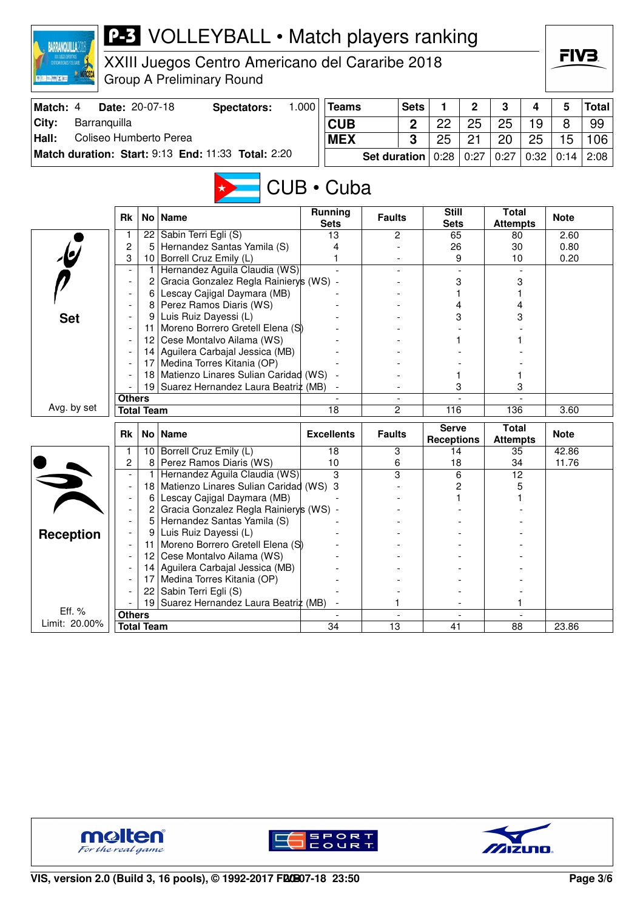| <b>BARRANQUILLA20</b>           |                          |                   | <b>P-3</b> VOLLEYBALL • Match players ranking                         |                       |                     |             |                                   |              |                                 |      |             |              |
|---------------------------------|--------------------------|-------------------|-----------------------------------------------------------------------|-----------------------|---------------------|-------------|-----------------------------------|--------------|---------------------------------|------|-------------|--------------|
|                                 |                          |                   | XXIII Juegos Centro Americano del Cararibe 2018                       |                       |                     |             |                                   |              |                                 |      | FIV3.       |              |
|                                 |                          |                   | <b>Group A Preliminary Round</b>                                      |                       |                     |             |                                   |              |                                 |      |             |              |
| Match: 4                        | Date: 20-07-18           |                   | <b>Spectators:</b>                                                    | 1.000<br><b>Teams</b> |                     | <b>Sets</b> | 1                                 | $\mathbf{2}$ | 3                               | 4    | 5           | <b>Total</b> |
| City:<br>Barranquilla           |                          |                   |                                                                       | <b>CUB</b>            |                     | $\mathbf 2$ | 22                                | 25           | 25                              | 19   | 8           | 99           |
| Coliseo Humberto Perea<br>Hall: |                          |                   |                                                                       | <b>MEX</b>            |                     | 3           | 25                                | 21           | 20                              | 25   | 15          | 106          |
|                                 |                          |                   | Match duration: Start: 9:13 End: 11:33 Total: 2:20                    |                       | <b>Set duration</b> |             | 0:28                              | 0:27         | 0:27                            | 0:32 | 0:14        | 2:08         |
|                                 |                          |                   |                                                                       |                       |                     |             |                                   |              |                                 |      |             |              |
|                                 |                          |                   |                                                                       | CUB • Cuba            |                     |             |                                   |              |                                 |      |             |              |
|                                 | <b>Rk</b>                |                   | No   Name                                                             | <b>Running</b>        | <b>Faults</b>       |             | <b>Still</b>                      |              | <b>Total</b>                    |      | <b>Note</b> |              |
|                                 | 1                        |                   | 22 Sabin Terri Egli (S)                                               | <b>Sets</b><br>13     |                     | 2           | <b>Sets</b><br>65                 |              | <b>Attempts</b><br>80           |      | 2.60        |              |
|                                 | $\overline{c}$           | 5                 | Hernandez Santas Yamila (S)                                           | 4                     |                     |             | 26                                |              | 30                              |      | 0.80        |              |
|                                 | 3                        |                   | 10 Borrell Cruz Emily (L)                                             | 1                     |                     |             |                                   | 9            | 10                              |      | 0.20        |              |
|                                 | $\overline{\phantom{a}}$ | 1                 | Hernandez Aguila Claudia (WS)                                         |                       |                     |             |                                   |              |                                 |      |             |              |
|                                 |                          | 2                 | Gracia Gonzalez Regla Rainiery's (WS) -                               |                       |                     |             |                                   | 3            |                                 | 3    |             |              |
|                                 |                          |                   | 6 Lescay Cajigal Daymara (MB)                                         |                       |                     |             |                                   |              |                                 |      |             |              |
|                                 |                          |                   | 8 Perez Ramos Diaris (WS)                                             |                       |                     |             |                                   | 4            |                                 |      |             |              |
| <b>Set</b>                      |                          |                   | Luis Ruiz Dayessi (L)                                                 |                       |                     |             |                                   | 3            |                                 | 3    |             |              |
|                                 |                          | 11                | Moreno Borrero Gretell Elena (S)                                      |                       |                     |             |                                   |              |                                 |      |             |              |
|                                 |                          |                   | 12 Cese Montalvo Ailama (WS)<br>14 Aguilera Carbajal Jessica (MB)     |                       |                     |             |                                   |              |                                 |      |             |              |
|                                 |                          | 17                | Medina Torres Kitania (OP)                                            |                       |                     |             |                                   |              |                                 |      |             |              |
|                                 |                          | 18                | Matienzo Linares Sulian Caridad (WS)                                  |                       |                     |             |                                   |              |                                 |      |             |              |
|                                 |                          |                   | 19 Suarez Hernandez Laura Beatriz (MB)                                |                       |                     |             |                                   | 3            |                                 | 3    |             |              |
|                                 | <b>Others</b>            |                   |                                                                       |                       |                     |             |                                   |              |                                 |      |             |              |
| Avg. by set                     |                          | <b>Total Team</b> |                                                                       | 18                    |                     | 2           | 116                               |              | 136                             |      | 3.60        |              |
|                                 | Rk                       |                   | No   Name                                                             | <b>Excellents</b>     | <b>Faults</b>       |             | <b>Serve</b><br><b>Receptions</b> |              | <b>Total</b><br><b>Attempts</b> |      | <b>Note</b> |              |
|                                 | 1                        |                   | 10 Borrell Cruz Emily (L)                                             | 18                    |                     | 3           | 14                                |              | 35                              |      | 42.86       |              |
|                                 | 2                        |                   | 8 Perez Ramos Diaris (WS)                                             | 10                    |                     | 6           | 18                                |              | 34                              |      | 11.76       |              |
|                                 |                          | 1                 | Hernandez Aguila Claudia (WS)                                         | 3                     |                     | 3           |                                   | 6            | 12                              |      |             |              |
|                                 |                          |                   | 18 Matienzo Linares Sulian Caridad (WS) 3                             |                       |                     |             |                                   | 2            |                                 | 5    |             |              |
|                                 |                          | 6<br>2            | Lescay Cajigal Daymara (MB)<br>Gracia Gonzalez Regla Rainierys (WS) - |                       |                     |             |                                   | 1            |                                 | 1    |             |              |
|                                 |                          | 5                 | Hernandez Santas Yamila (S)                                           |                       |                     |             |                                   |              |                                 |      |             |              |
| <b>Reception</b>                |                          | 9                 | Luis Ruiz Dayessi (L)                                                 |                       |                     |             |                                   |              |                                 |      |             |              |
|                                 |                          | 11                | Moreno Borrero Gretell Elena (S)                                      |                       |                     |             |                                   |              |                                 |      |             |              |
|                                 |                          | 12 <sub>2</sub>   | Cese Montalvo Ailama (WS)                                             |                       |                     |             |                                   |              |                                 |      |             |              |
|                                 |                          |                   | 14 Aguilera Carbajal Jessica (MB)                                     |                       |                     |             |                                   |              |                                 |      |             |              |
|                                 |                          | 17                | Medina Torres Kitania (OP)                                            |                       |                     |             |                                   |              |                                 |      |             |              |
|                                 |                          |                   | 22 Sabin Terri Egli (S)                                               |                       |                     |             |                                   |              |                                 |      |             |              |
| Eff. %                          |                          |                   | 19 Suarez Hernandez Laura Beatriz (MB)                                |                       |                     |             |                                   |              |                                 |      |             |              |
| Limit: 20.00%                   | <b>Others</b>            | <b>Total Team</b> |                                                                       | 34                    | 13                  |             | 41                                |              | 88                              |      | 23.86       |              |
|                                 |                          |                   |                                                                       |                       |                     |             |                                   |              |                                 |      |             |              |





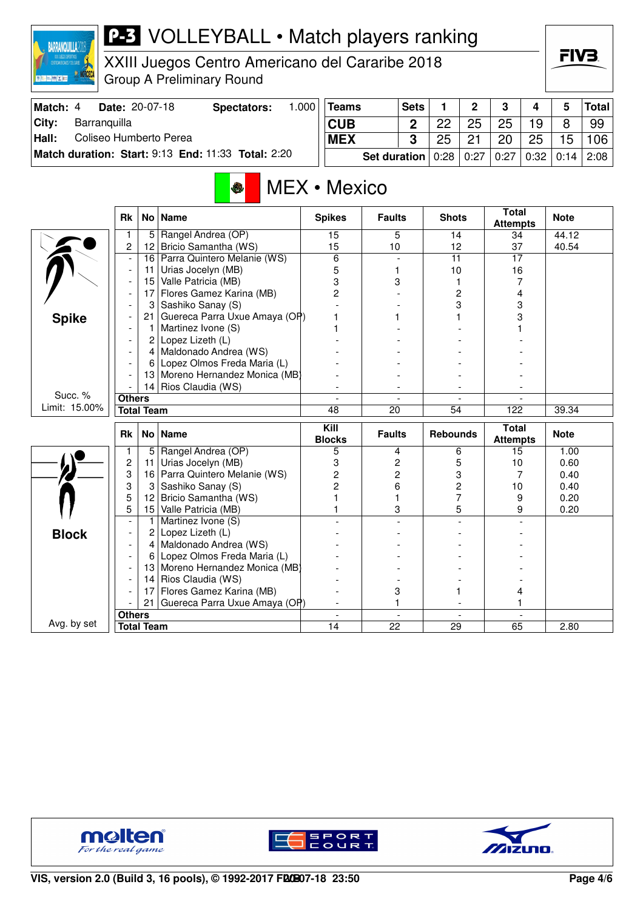

## **P-3** VOLLEYBALL • Match players ranking

XXIII Juegos Centro Americano del Cararibe 2018 Group A Preliminary Round

| Match: 4      | <b>Date: 20-07-18</b>                              | Spectators: | .000 | <b>Teams</b> | <b>Sets</b> |                  | ົ  | 3    |      |      | <b>Total</b> |
|---------------|----------------------------------------------------|-------------|------|--------------|-------------|------------------|----|------|------|------|--------------|
| City:         | Barranguilla                                       |             |      | <b>CUB</b>   |             | ററ               | 25 | 25   | 19   |      | 99           |
| $\vert$ Hall: | Coliseo Humberto Perea                             |             |      | <b>MEX</b>   |             |                  | 21 | 20   | 25   | 15   | 106          |
|               | Match duration: Start: 9:13 End: 11:33 Total: 2:20 |             |      | Set duration |             | $0.28 \mid 0.27$ |    | 0:27 | 0:32 | 0:14 | ່ 2:08 ⊧     |

## MEX • Mexico

|               | <b>Rk</b>      |                   | No   Name                       | <b>Spikes</b>            | <b>Faults</b>            | <b>Shots</b>             | <b>Total</b><br><b>Attempts</b> | <b>Note</b> |
|---------------|----------------|-------------------|---------------------------------|--------------------------|--------------------------|--------------------------|---------------------------------|-------------|
|               | 1              | 5                 | Rangel Andrea (OP)              | 15                       | 5                        | 14                       | 34                              | 44.12       |
|               | $\overline{c}$ | 12                | Bricio Samantha (WS)            | 15                       | 10                       | 12                       | 37                              | 40.54       |
|               | $\blacksquare$ | 16                | Parra Quintero Melanie (WS)     | 6                        |                          | $\overline{11}$          | 17                              |             |
|               |                | 11                | Urias Jocelyn (MB)              | 5                        | 1                        | 10                       | 16                              |             |
|               |                | 15                | Valle Patricia (MB)             | 3                        | 3                        | 1                        | 7                               |             |
|               |                | 17                | Flores Gamez Karina (MB)        | 2                        |                          | 2                        | 4                               |             |
|               |                | 3                 | Sashiko Sanay (S)               |                          |                          | 3                        | 3                               |             |
| <b>Spike</b>  |                | 21                | Guereca Parra Uxue Amaya (OP)   |                          |                          |                          | 3                               |             |
|               |                | 1                 | Martinez Ivone (S)              |                          |                          |                          |                                 |             |
|               |                | 2                 | Lopez Lizeth (L)                |                          |                          |                          |                                 |             |
|               |                | 4                 | Maldonado Andrea (WS)           |                          |                          |                          |                                 |             |
|               |                | 6                 | Lopez Olmos Freda Maria (L)     |                          |                          |                          |                                 |             |
|               |                | 13                | Moreno Hernandez Monica (MB)    |                          |                          |                          |                                 |             |
|               |                | 14                | Rios Claudia (WS)               |                          |                          |                          |                                 |             |
| Succ. %       | <b>Others</b>  |                   |                                 | $\overline{\phantom{a}}$ | $\overline{\phantom{a}}$ | $\overline{\phantom{a}}$ |                                 |             |
| Limit: 15.00% |                | <b>Total Team</b> |                                 | 48                       | 20                       | 54                       | 122                             | 39.34       |
|               |                |                   |                                 |                          |                          |                          |                                 |             |
|               | <b>Rk</b>      |                   | No   Name                       | Kill<br><b>Blocks</b>    | <b>Faults</b>            | <b>Rebounds</b>          | <b>Total</b><br><b>Attempts</b> | <b>Note</b> |
|               | 1              | 5                 | Rangel Andrea (OP)              | 5                        | 4                        | 6                        | 15                              | 1.00        |
|               | $\overline{c}$ | 11                | Urias Jocelyn (MB)              | 3                        | 2                        | 5                        | 10                              | 0.60        |
|               | 3              | 16                | Parra Quintero Melanie (WS)     | 2                        | $\overline{c}$           | 3                        | 7                               | 0.40        |
|               | 3              | 3                 | Sashiko Sanay (S)               | 2                        | 6                        | 2                        | 10                              | 0.40        |
|               | 5              | 12                | Bricio Samantha (WS)            |                          |                          | $\overline{7}$           | 9                               | 0.20        |
|               | 5              | 15                | Valle Patricia (MB)             |                          | 3                        | 5                        | 9                               | 0.20        |
|               |                | $\mathbf{1}$      | Martinez Ivone (S)              |                          |                          |                          |                                 |             |
|               |                | 2                 | Lopez Lizeth (L)                |                          |                          |                          |                                 |             |
| <b>Block</b>  |                |                   | 4 Maldonado Andrea (WS)         |                          |                          |                          |                                 |             |
|               |                | 6                 | Lopez Olmos Freda Maria (L)     |                          |                          |                          |                                 |             |
|               |                |                   | 13 Moreno Hernandez Monica (MB) |                          |                          |                          |                                 |             |
|               |                | 14                | Rios Claudia (WS)               |                          |                          |                          |                                 |             |
|               |                | 17                | Flores Gamez Karina (MB)        |                          | 3                        |                          | 4                               |             |
|               |                | 21                | Guereca Parra Uxue Amaya (OP)   |                          | 1                        |                          |                                 |             |
| Avg. by set   | <b>Others</b>  | <b>Total Team</b> |                                 | 14                       | 22                       | 29                       | 65                              | 2.80        |





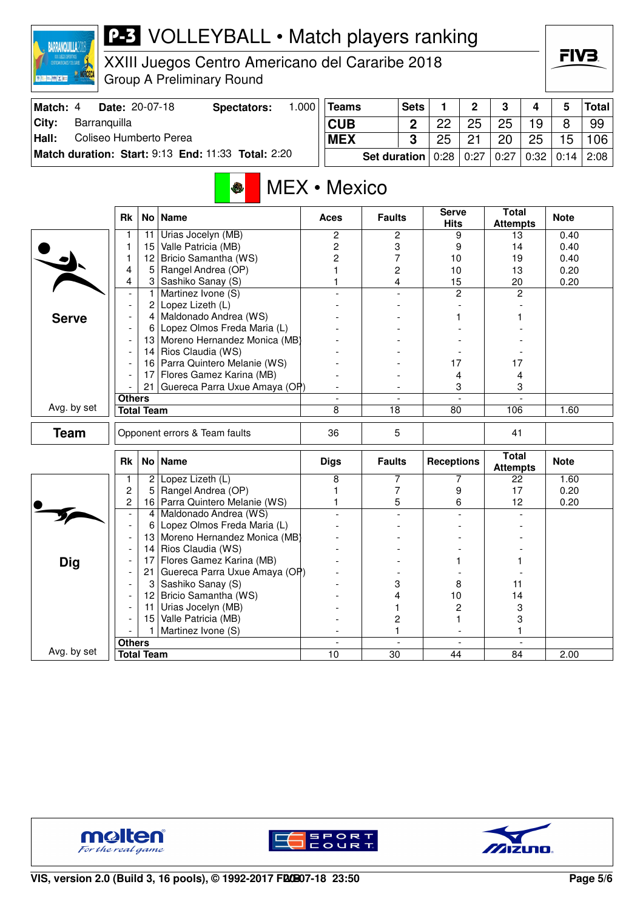| <b>BARRANQUILLA20</b>           |                          |                      | <b>P-3</b> VOLLEYBALL • Match players ranking           |       |                                |                     |                  |                             |                          |                                 |                          |              |              |
|---------------------------------|--------------------------|----------------------|---------------------------------------------------------|-------|--------------------------------|---------------------|------------------|-----------------------------|--------------------------|---------------------------------|--------------------------|--------------|--------------|
|                                 |                          |                      | XXIII Juegos Centro Americano del Cararibe 2018         |       |                                |                     |                  |                             |                          |                                 |                          | FIV3.        |              |
|                                 |                          |                      | <b>Group A Preliminary Round</b>                        |       |                                |                     |                  |                             |                          |                                 |                          |              |              |
| Match: 4                        | Date: 20-07-18           |                      | <b>Spectators:</b>                                      | 1.000 | <b>Teams</b>                   |                     | <b>Sets</b>      | 1                           | $\mathbf 2$              | 3                               | 4                        | 5            | <b>Total</b> |
| City:<br>Barranquilla           |                          |                      |                                                         |       | <b>CUB</b>                     |                     | $\boldsymbol{2}$ | 22                          | 25                       | 25                              | 19                       | 8            | 99           |
| Coliseo Humberto Perea<br>Hall: |                          |                      |                                                         |       | <b>MEX</b>                     |                     | 3                | 25                          | 21                       | 20                              | 25                       | 15           | 106          |
|                                 |                          |                      | Match duration: Start: 9:13 End: 11:33 Total: 2:20      |       |                                | <b>Set duration</b> |                  | 0:28                        | 0:27                     | 0:27                            | 0:32                     | 0:14         | 2:08         |
|                                 |                          |                      | ♦                                                       |       | MEX • Mexico                   |                     |                  |                             |                          |                                 |                          |              |              |
|                                 | <b>Rk</b>                |                      | No   Name                                               |       | Aces                           | <b>Faults</b>       |                  | <b>Serve</b><br><b>Hits</b> |                          | <b>Total</b><br><b>Attempts</b> |                          | <b>Note</b>  |              |
|                                 | 1                        | 11                   | Urias Jocelyn (MB)                                      |       | 2                              | 2                   |                  | 9                           |                          | 13                              |                          | 0.40         |              |
|                                 | 1<br>1                   | 15<br>12             | Valle Patricia (MB)<br>Bricio Samantha (WS)             |       | 2<br>2                         | 3<br>7              |                  | 9                           |                          | 14                              |                          | 0.40         |              |
|                                 | 4                        | 5                    | Rangel Andrea (OP)                                      |       | 1                              | 2                   |                  | 10<br>10                    |                          | 19<br>13                        |                          | 0.40<br>0.20 |              |
|                                 | 4                        |                      | 3 Sashiko Sanay (S)                                     |       |                                | 4                   |                  | 15                          |                          | 20                              |                          | 0.20         |              |
|                                 |                          | $\mathbf{1}$         | Martinez Ivone (S)                                      |       |                                |                     |                  | $\overline{c}$              |                          |                                 | 2                        |              |              |
|                                 |                          | 2                    | Lopez Lizeth (L)                                        |       |                                |                     |                  |                             |                          |                                 |                          |              |              |
| <b>Serve</b>                    |                          | 4<br>6               | Maldonado Andrea (WS)<br>Lopez Olmos Freda Maria (L)    |       |                                |                     |                  |                             |                          |                                 |                          |              |              |
|                                 |                          |                      | 13 Moreno Hernandez Monica (MB)                         |       |                                |                     |                  |                             |                          |                                 |                          |              |              |
|                                 |                          |                      | 14 Rios Claudia (WS)                                    |       |                                |                     |                  |                             |                          |                                 |                          |              |              |
|                                 |                          | 161                  | Parra Quintero Melanie (WS)                             |       |                                |                     |                  | 17                          |                          | 17                              |                          |              |              |
|                                 |                          | 17                   | Flores Gamez Karina (MB)                                |       |                                |                     |                  | 4                           |                          | 4                               |                          |              |              |
|                                 | <b>Others</b>            | 21                   | Guereca Parra Uxue Amaya (OP)                           |       |                                |                     |                  | 3                           |                          |                                 | 3                        |              |              |
| Avg. by set                     |                          | <b>Total Team</b>    |                                                         |       | 8                              | 18                  |                  | 80                          |                          | 106                             |                          | 1.60         |              |
| <b>Team</b>                     |                          |                      | Opponent errors & Team faults                           |       | 36                             | 5                   |                  |                             |                          | 41                              |                          |              |              |
|                                 | <b>Rk</b>                |                      | No   Name                                               |       | <b>Digs</b>                    | <b>Faults</b>       |                  | <b>Receptions</b>           |                          | <b>Total</b><br><b>Attempts</b> |                          | <b>Note</b>  |              |
|                                 | 1                        | $\overline{2}$       | Lopez Lizeth (L)                                        |       | 8                              | 7                   |                  |                             | 7                        | 22                              |                          | 1.60         |              |
|                                 | 2                        | 5                    | Rangel Andrea (OP)                                      |       | 1                              | 7                   |                  | 9                           |                          | 17                              |                          | 0.20         |              |
|                                 | 2                        | 4                    | 16 Parra Quintero Melanie (WS)<br>Maldonado Andrea (WS) |       | 1                              | 5                   |                  | 6                           |                          | 12                              |                          | 0.20         |              |
|                                 | $\overline{\phantom{0}}$ | 6                    | Lopez Olmos Freda Maria (L)                             |       |                                |                     |                  |                             |                          |                                 |                          |              |              |
|                                 | $\overline{\phantom{a}}$ | 13                   | Moreno Hernandez Monica (MB)                            |       |                                |                     |                  |                             |                          |                                 |                          |              |              |
|                                 | $\overline{\phantom{0}}$ | 14                   | Rios Claudia (WS)                                       |       |                                |                     |                  |                             |                          |                                 |                          |              |              |
| <b>Dig</b>                      |                          | 17                   | Flores Gamez Karina (MB)                                |       |                                |                     |                  |                             |                          |                                 |                          |              |              |
|                                 | $\overline{\phantom{a}}$ | 21 <sup>1</sup><br>3 | Guereca Parra Uxue Amaya (OP)<br>Sashiko Sanay (S)      |       |                                | 3                   |                  | 8                           |                          | 11                              |                          |              |              |
|                                 |                          | 12                   | Bricio Samantha (WS)                                    |       |                                | 4                   |                  | 10                          |                          | 14                              |                          |              |              |
|                                 |                          | 11                   | Urias Jocelyn (MB)                                      |       |                                | 1                   |                  | 2                           |                          | 3                               |                          |              |              |
|                                 |                          | 15                   | Valle Patricia (MB)                                     |       |                                | 2                   |                  | 1                           |                          |                                 | 3                        |              |              |
|                                 |                          | 1                    | Martinez Ivone (S)                                      |       |                                | 1                   |                  |                             |                          | 1                               |                          |              |              |
| Avg. by set                     | <b>Others</b>            | <b>Total Team</b>    |                                                         |       | $\overline{\phantom{a}}$<br>10 | $\overline{30}$     | $\blacksquare$   | 44                          | $\overline{\phantom{a}}$ | 84                              | $\overline{\phantom{a}}$ | 2.00         |              |
|                                 |                          |                      |                                                         |       |                                |                     |                  |                             |                          |                                 |                          |              |              |